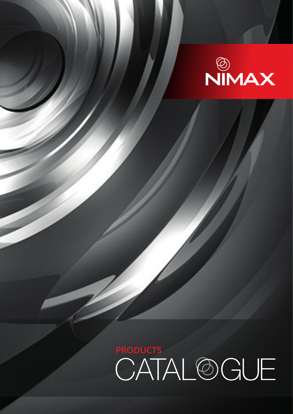

PRODUCTS<br>CATAL@GUE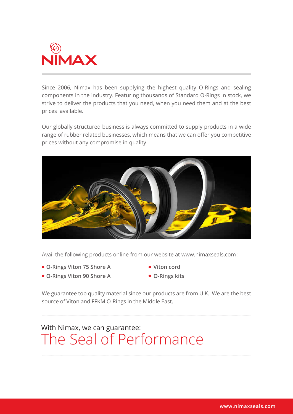

Since 2006, Nimax has been supplying the highest quality O-Rings and sealing components in the industry. Featuring thousands of Standard O-Rings in stock, we strive to deliver the products that you need, when you need them and at the best prices available.

Our globally structured business is always committed to supply products in a wide range of rubber related businesses, which means that we can offer you competitive prices without any compromise in quality.



Avail the following products online from our website at www.nimaxseals.com :

- **O-Rings Viton 75 Shore A**
- **O-Rings Viton 90 Shore A**
- **Viton cord**
- **O-Rings kits**

We guarantee top quality material since our products are from U.K. We are the best source of Viton and FFKM O-Rings in the Middle East.

### With Nimax, we can guarantee: The Seal of Performance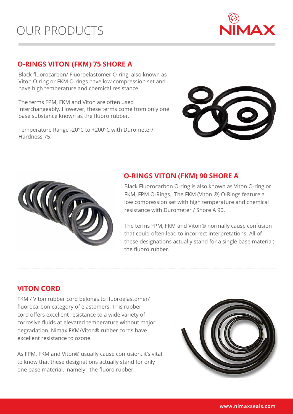

#### **O-RINGS VITON (FKM) 75 SHORE A**

Black fluorocarbon/ Fluoroelastomer O-ring, also known as Viton O-ring or FKM O-rings have low compression set and have high temperature and chemical resistance.

The terms FPM, FKM and Viton are often used interchangeably. However, these terms come from only one base substance known as the fluoro rubber.

Temperature Range -20°C to +200°C with Durometer/ Hardness 75.





#### **O-RINGS VITON (FKM) 90 SHORE A**

Black Fluorocarbon O-ring is also known as Viton O-ring or FKM, FPM O-Rings. The FKM (Viton ®) O-Rings feature a low compression set with high temperature and chemical resistance with Durometer / Shore A 90.

The terms FPM, FKM and Viton® normally cause confusion that could often lead to incorrect interpretations. All of these designations actually stand for a single base material: the fluoro rubber.

#### **VITON CORD**

FKM / Viton rubber cord belongs to fluoroelastomer/ fluorocarbon category of elastomers. This rubber cord offers excellent resistance to a wide variety of corrosive fluids at elevated temperature without major degradation. Nimax FKM/Viton® rubber cords have excellent resistance to ozone.

As FPM, FKM and Viton® usually cause confusion, it's vital to know that these designations actually stand for only one base material, namely: the fluoro rubber.

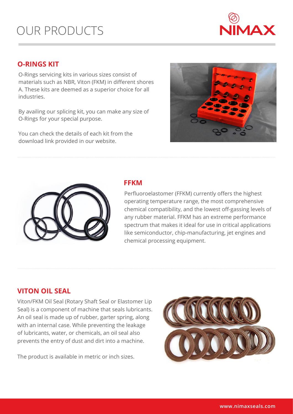

#### **O-RINGS KIT**

O-Rings servicing kits in various sizes consist of materials such as NBR, Viton (FKM) in different shores A. These kits are deemed as a superior choice for all industries.

By availing our splicing kit, you can make any size of O-Rings for your special purpose.

You can check the details of each kit from the download link provided in our website.





#### **FFKM**

Perfluoroelastomer (FFKM) currently offers the highest operating temperature range, the most comprehensive chemical compatibility, and the lowest off-gassing levels of any rubber material. FFKM has an extreme performance spectrum that makes it ideal for use in critical applications like semiconductor, chip-manufacturing, jet engines and chemical processing equipment.

#### **VITON OIL SEAL**

Viton/FKM Oil Seal (Rotary Shaft Seal or Elastomer Lip Seal) is a component of machine that seals lubricants. An oil seal is made up of rubber, garter spring, along with an internal case. While preventing the leakage of lubricants, water, or chemicals, an oil seal also prevents the entry of dust and dirt into a machine.

The product is available in metric or inch sizes.

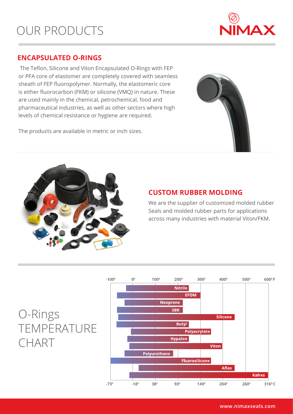

#### **ENCAPSULATED O-RINGS**

 The Teflon, Silicone and Viton Encapsulated O-Rings with FEP or PFA core of elastomer are completely covered with seamless sheath of FEP fluoropolymer. Normally, the elastomeric core is either fluorocarbon (FKM) or silicone (VMQ) in nature. These are used mainly in the chemical, petrochemical, food and pharmaceutical industries, as well as other sectors where high levels of chemical resistance or hygiene are required.

The products are available in metric or inch sizes.





#### **CUSTOM RUBBER MOLDING**

We are the supplier of customized molded rubber Seals and molded rubber parts for applications across many industries with material Viton/FKM.